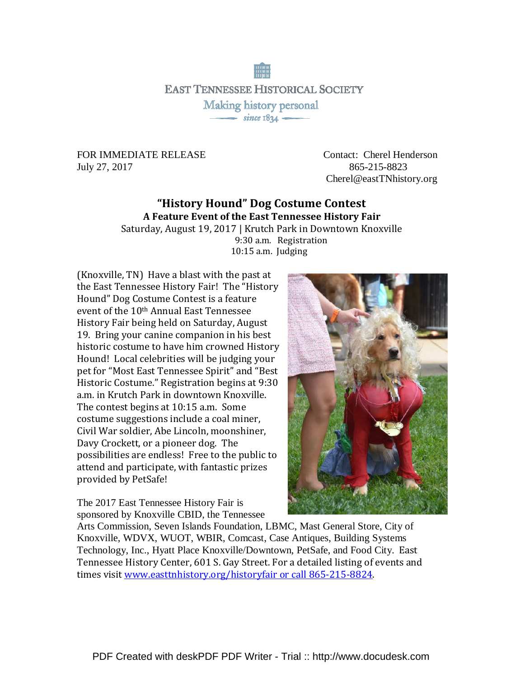**EAST TENNESSEE HISTORICAL SOCIETY** Making history personal  $\overline{\phantom{1}}$  since 1834  $\overline{\phantom{1}}$ 

July 27, 2017865-215-8823

FOR IMMEDIATE RELEASE Contact: Cherel Henderson Cherel@eastTNhistory.org

## "History Hound" Dog Costume Contest A Feature Event of the East Tennessee History Fair

Saturday, August 19, 2017 | Krutch Park in Downtown Knoxville 9:30 a.m. Registration 10:15 a.m. Judging

(Knoxville, TN) Have a blast with the past at the East Tennessee History Fair! The "History Hound" Dog Costume Contest is a feature event of the 10th Annual East Tennessee History Fair being held on Saturday, August 19. Bring your canine companion in his best historic costume to have him crowned History Hound! Local celebrities will be judging your pet for "Most East Tennessee Spirit" and "Best Historic Costume." Registration begins at 9:30 a.m. in Krutch Park in downtown Knoxville. The contest begins at 10:15 a.m. Some costume suggestions include a coal miner, Civil War soldier, Abe Lincoln, moonshiner, Davy Crockett, or a pioneer dog. The possibilities are endless! Free to the public to attend and participate, with fantastic prizes provided by PetSafe!

The 2017 East Tennessee History Fair is sponsored by Knoxville CBID, the Tennessee



Arts Commission, Seven Islands Foundation, LBMC, Mast General Store, City of Knoxville, WDVX, WUOT, WBIR, Comcast, Case Antiques, Building Systems Technology, Inc., Hyatt Place Knoxville/Downtown, PetSafe, and Food City. East Tennessee History Center, 601 S. Gay Street. For a detailed listing of events and times visit www.easttnhistory.org/historyfair or call 865-215-8824.